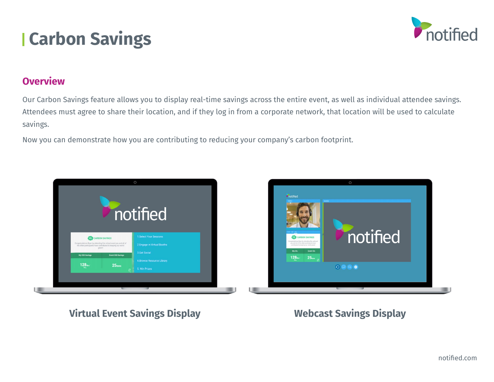



#### **Overview**

Our Carbon Savings feature allows you to display real-time savings across the entire event, as well as individual attendee savings. Attendees must agree to share their location, and if they log in from a corporate network, that location will be used to calculate savings.

Now you can demonstrate how you are contributing to reducing your company's carbon footprint.



# **Virtual Event Savings Display Webcast Savings Display**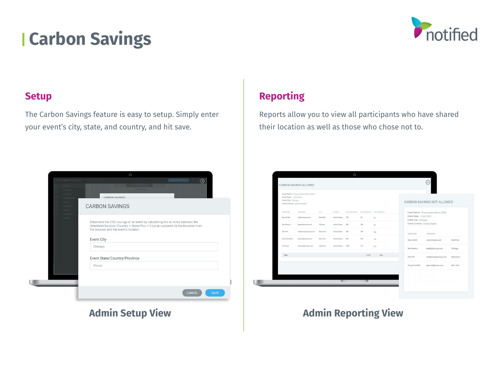# **Carbon Savings**



### **Setup**

The Carbon Savings feature is easy to setup. Simply enter your event's city, state, and country, and hit save.

|                             |                                       | $\circ$              |                                                                                                                                                                      |             |
|-----------------------------|---------------------------------------|----------------------|----------------------------------------------------------------------------------------------------------------------------------------------------------------------|-------------|
| Intrado Studio   Webcasting |                                       |                      | PRESENTER CONSOLE - (?)                                                                                                                                              | $\circledR$ |
| OVERVIEW                    |                                       | <b>CHANGE LAYOUT</b> |                                                                                                                                                                      |             |
| 1 SETTINGS<br>STAFFERS      |                                       |                      |                                                                                                                                                                      |             |
| REGISTRATION<br>LOCIN-      | <b>CARRON SAVINGS</b>                 |                      |                                                                                                                                                                      |             |
| MESSACINO                   | <b>CARBON SAVINGS</b>                 |                      |                                                                                                                                                                      |             |
| subes<br>HANDOUTS           |                                       |                      |                                                                                                                                                                      |             |
| LAYOUT                      |                                       |                      |                                                                                                                                                                      |             |
|                             |                                       |                      | Determine the CO2 savings of an event by calculating the air miles between the<br>attendee's location (Country + State/Prov + City) as captured via Geolocation from |             |
|                             | the browser and the event's location. |                      |                                                                                                                                                                      |             |
|                             |                                       |                      |                                                                                                                                                                      |             |
|                             | <b>Event City</b>                     |                      |                                                                                                                                                                      |             |
|                             | Chicago                               |                      |                                                                                                                                                                      |             |
|                             |                                       |                      |                                                                                                                                                                      |             |
|                             | Event State/Country/Province          |                      |                                                                                                                                                                      |             |
|                             | Illinois                              |                      |                                                                                                                                                                      |             |
|                             |                                       |                      |                                                                                                                                                                      |             |
|                             |                                       |                      |                                                                                                                                                                      |             |
|                             |                                       |                      |                                                                                                                                                                      |             |
|                             |                                       |                      | <b>CANCEL</b>                                                                                                                                                        | <b>SAVE</b> |
|                             |                                       |                      |                                                                                                                                                                      |             |

# **Reporting**

Reports allow you to view all participants who have shared their location as well as those who chose not to.



## **Admin Setup View**  Admin Reporting View